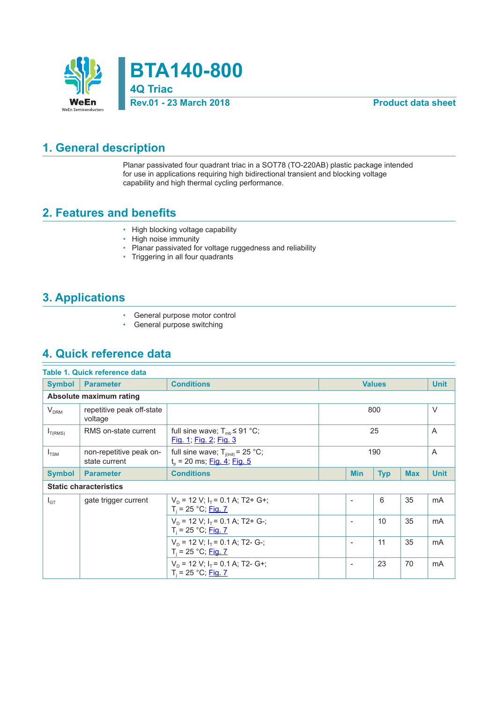

**BTA140-800 4Q Triac**

#### **Rev.01 - 23 March 2018 Product data sheet**

#### **1. General description**

Planar passivated four quadrant triac in a SOT78 (TO-220AB) plastic package intended for use in applications requiring high bidirectional transient and blocking voltage capability and high thermal cycling performance.

#### **2. Features and benefits**

- High blocking voltage capability<br>• High noise immunity
- High noise immunity
- Planar passivated for voltage ruggedness and reliability
- Triggering in all four quadrants

### **3. Applications**

- General purpose motor control<br>• General purpose switching
- General purpose switching

### **4. Quick reference data**

| Table 1. Quick reference data |                                          |                                                                                       |     |                          |                |             |        |
|-------------------------------|------------------------------------------|---------------------------------------------------------------------------------------|-----|--------------------------|----------------|-------------|--------|
| <b>Symbol</b>                 | <b>Parameter</b>                         | <b>Conditions</b><br><b>Values</b>                                                    |     |                          |                | <b>Unit</b> |        |
|                               | Absolute maximum rating                  |                                                                                       |     |                          |                |             |        |
| V <sub>DRM</sub>              | repetitive peak off-state<br>voltage     |                                                                                       |     |                          | 800            |             | $\vee$ |
| $I_{T(RMS)}$                  | RMS on-state current                     | full sine wave; $T_{\text{mb}} \leq 91 \text{ °C}$ ;<br><u>Fig. 1; Fig. 2; Fig. 3</u> | 25  |                          | $\overline{A}$ |             |        |
| $I_{TSM}$                     | non-repetitive peak on-<br>state current | full sine wave; $T_{j(int)} = 25$ °C;<br>$t_{p}$ = 20 ms; Fig. 4; Fig. 5              | 190 |                          | A              |             |        |
| <b>Symbol</b>                 | <b>Parameter</b>                         | <b>Conditions</b><br><b>Min</b><br><b>Typ</b><br><b>Max</b>                           |     |                          | <b>Unit</b>    |             |        |
| <b>Static characteristics</b> |                                          |                                                                                       |     |                          |                |             |        |
| $I_{GT}$                      | gate trigger current                     | $V_p = 12 V$ ; $I_r = 0.1 A$ ; T2+ G+;<br>$T_i = 25 °C;$ Fig. 7                       |     |                          | 6              | 35          | mA     |
|                               |                                          | $V_p = 12$ V; $I_r = 0.1$ A; T2+ G-;<br>$T_i = 25 °C;$ Fig. 7                         |     | $\overline{\phantom{a}}$ | 10             | 35          | mA     |
|                               |                                          | $V_p = 12$ V; $I_r = 0.1$ A; T2- G-;<br>$T_i = 25 °C;$ Fig. 7                         |     |                          | 11             | 35          | mA     |
|                               |                                          | $V_p = 12 V$ ; $I_r = 0.1 A$ ; T2- G+;<br>$T_i = 25 °C;$ Fig. 7                       |     | $\overline{\phantom{a}}$ | 23             | 70          | mA     |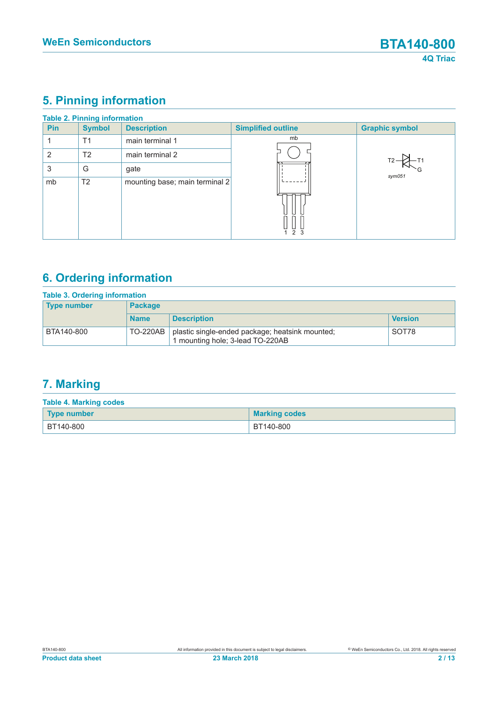# **5. Pinning information**

|            | <b>Table 2. Pinning information</b> |                                |                           |                       |
|------------|-------------------------------------|--------------------------------|---------------------------|-----------------------|
| <b>Pin</b> | <b>Symbol</b>                       | <b>Description</b>             | <b>Simplified outline</b> | <b>Graphic symbol</b> |
|            | T1                                  | main terminal 1                | mb                        |                       |
| 2          | T <sub>2</sub>                      | main terminal 2                |                           |                       |
| 3          | G                                   | gate                           |                           | sym051                |
| mb         | T <sub>2</sub>                      | mounting base; main terminal 2 | 2 <sub>3</sub>            |                       |

# **6. Ordering information**

| <b>Table 3. Ordering information</b> |                 |                                                                                     |                |  |
|--------------------------------------|-----------------|-------------------------------------------------------------------------------------|----------------|--|
| <b>Type number</b>                   | <b>Package</b>  |                                                                                     |                |  |
|                                      | <b>Name</b>     | <b>Description</b>                                                                  | <b>Version</b> |  |
| BTA140-800                           | <b>TO-220AB</b> | plastic single-ended package; heatsink mounted;<br>1 mounting hole; 3-lead TO-220AB | SOT78          |  |

# **7. Marking**

| <b>Table 4. Marking codes</b> |                      |  |  |  |
|-------------------------------|----------------------|--|--|--|
| Type number                   | <b>Marking codes</b> |  |  |  |
| BT140-800                     | BT140-800            |  |  |  |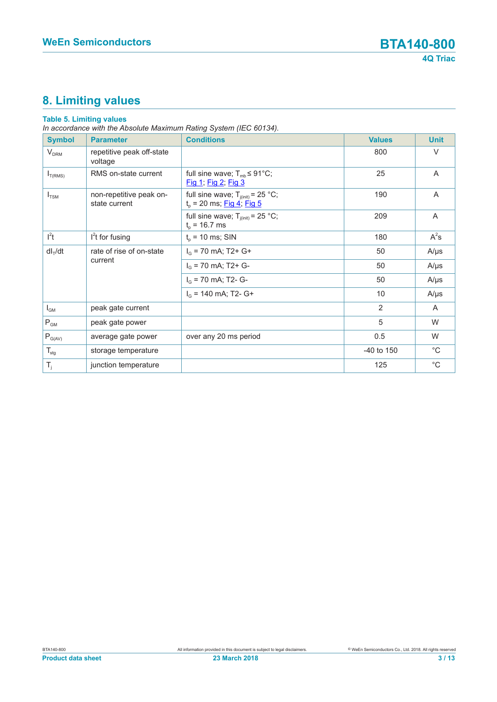# **8. Limiting values**

#### **Table 5. Limiting values**

*In accordance with the Absolute Maximum Rating System (IEC 60134).*

| <b>Symbol</b>            | <b>Parameter</b>                         | <b>Conditions</b>                                                                 | <b>Values</b>  | <b>Unit</b>  |
|--------------------------|------------------------------------------|-----------------------------------------------------------------------------------|----------------|--------------|
| V <sub>DRM</sub>         | repetitive peak off-state<br>voltage     |                                                                                   | 800            | $\vee$       |
| $I_{T(RMS)}$             | RMS on-state current                     | full sine wave; $T_{\text{mb}} \leq 91^{\circ} \text{C}$ ;<br>Fig 1; Fig 2; Fig 3 | 25             | A            |
| $I_{TSM}$                | non-repetitive peak on-<br>state current | full sine wave; $T_{j(int)} = 25 °C$ ;<br>$t_p$ = 20 ms; Fig 4; Fig 5             | 190            | A            |
|                          |                                          | full sine wave; $T_{j(int)} = 25$ °C;<br>$t_{p}$ = 16.7 ms                        | 209            | A            |
| $l^2t$                   | $l2t$ for fusing                         | $t_{p}$ = 10 ms; SIN                                                              | 180            | $A^2s$       |
| $dl_T/dt$                | rate of rise of on-state                 | $I_G$ = 70 mA; T2+ G+                                                             | 50             | $A/\mu s$    |
|                          | current                                  | $I_G$ = 70 mA; T2+ G-                                                             | 50             | $A/\mu s$    |
|                          |                                          | $I_G$ = 70 mA; T2- G-                                                             | 50             | $A/\mu s$    |
|                          |                                          | $I_G$ = 140 mA; T2- G+                                                            | 10             | $A/\mu s$    |
| $I_{GM}$                 | peak gate current                        |                                                                                   | $\overline{2}$ | A            |
| $\mathsf{P}_\mathsf{GM}$ | peak gate power                          |                                                                                   | 5              | W            |
| $P_{G(AV)}$              | average gate power                       | over any 20 ms period                                                             | 0.5            | W            |
| $T_{\text{stg}}$         | storage temperature                      |                                                                                   | -40 to 150     | $^{\circ}$ C |
| $T_i$                    | junction temperature                     |                                                                                   | 125            | $^{\circ}C$  |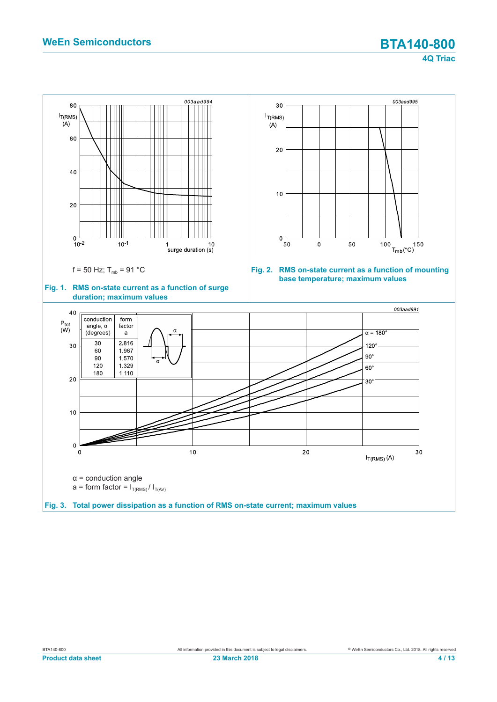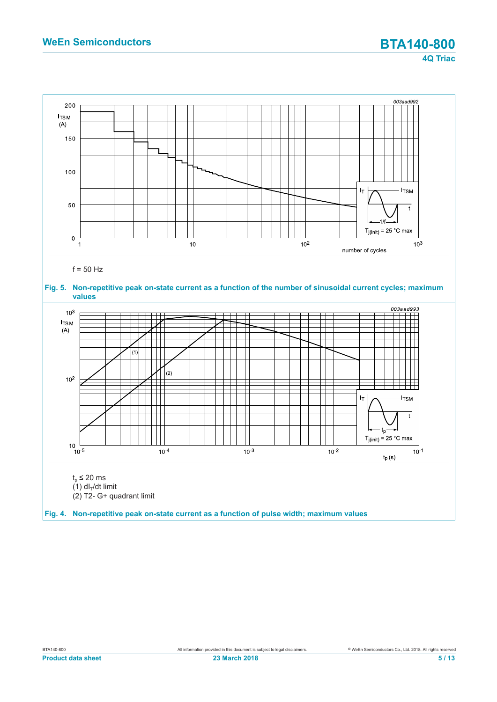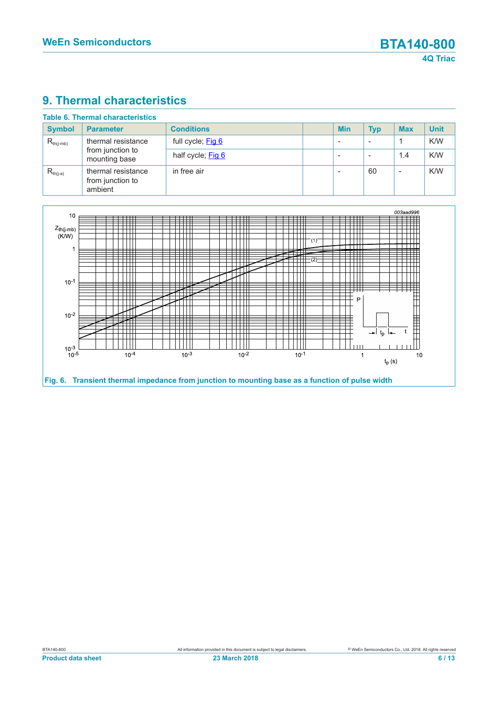## **9. Thermal characteristics**

| <b>Symbol</b>                        | <b>Parameter</b>                                  | <b>Conditions</b> | <b>Min</b> | <b>Typ</b> | <b>Max</b> | <b>Unit</b> |
|--------------------------------------|---------------------------------------------------|-------------------|------------|------------|------------|-------------|
| thermal resistance<br>$R_{th(j-mb)}$ |                                                   | full cycle; Fig 6 |            |            |            | K/W         |
|                                      | from junction to<br>mounting base                 | half cycle; Fig 6 |            |            | 1.4        | K/W         |
| $R_{th(i-a)}$                        | thermal resistance<br>from junction to<br>ambient | in free air       |            | 60         | -          | K/W         |

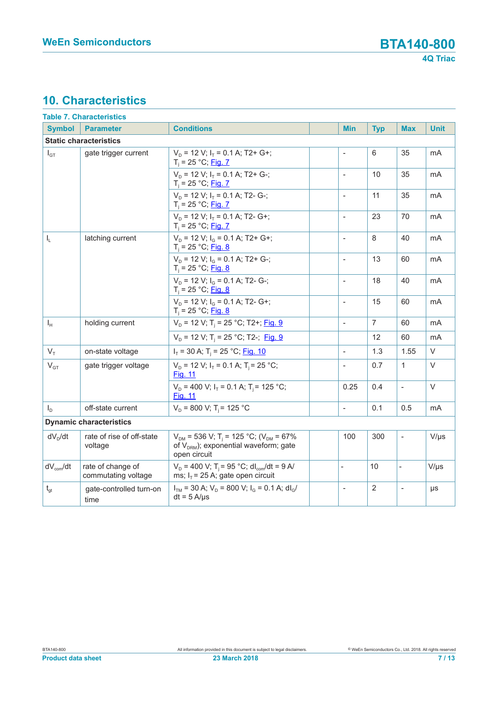## **10. Characteristics**

|                                                    | <b>Table 7. Characteristics</b>          |                                                                                                                                 |                          |                |                          |             |
|----------------------------------------------------|------------------------------------------|---------------------------------------------------------------------------------------------------------------------------------|--------------------------|----------------|--------------------------|-------------|
| <b>Symbol</b>                                      | <b>Parameter</b>                         | <b>Conditions</b>                                                                                                               | <b>Min</b>               | <b>Typ</b>     | <b>Max</b>               | <b>Unit</b> |
|                                                    | <b>Static characteristics</b>            |                                                                                                                                 |                          |                |                          |             |
| gate trigger current<br>$I_{GT}$                   |                                          | $V_D$ = 12 V; $I_T$ = 0.1 A; T2+ G+;<br>$T_i = 25 °C;$ Fig. 7                                                                   | $\overline{a}$           | 6              | 35                       | mA          |
|                                                    |                                          | $V_D$ = 12 V; $I_T$ = 0.1 A; T2+ G-;<br>$T_i = 25 °C;$ Fig. 7                                                                   | $\overline{\phantom{a}}$ | 10             | 35                       | mA          |
|                                                    |                                          | $V_p = 12 V$ ; $I_T = 0.1 A$ ; T2- G-;<br>$T_i = 25 °C;$ Fig. 7                                                                 | $\overline{\phantom{a}}$ | 11             | 35                       | mA          |
|                                                    |                                          | $V_p = 12 V$ ; $I_r = 0.1 A$ ; T2- G+;<br>$T_i = 25 °C;$ Fig. 7                                                                 | $\mathbf{r}$             | 23             | 70                       | mA          |
| $I_L$                                              | latching current                         | $V_D$ = 12 V; $I_G$ = 0.1 A; T2+ G+;<br>$T_i = 25 °C;$ Fig. 8                                                                   | $\overline{a}$           | 8              | 40                       | mA          |
|                                                    |                                          | $V_D$ = 12 V; $I_G$ = 0.1 A; T2+ G-;<br>$T_i = 25 °C;$ Fig. 8                                                                   | $\blacksquare$           | 13             | 60                       | mA          |
|                                                    |                                          | $V_p = 12$ V; $I_q = 0.1$ A; T2- G-;<br>$T_i = 25 °C;$ Fig. 8                                                                   | $\overline{\phantom{a}}$ | 18             | 40                       | mA          |
|                                                    |                                          | $V_p = 12$ V; $I_q = 0.1$ A; T2- G+;<br>$T_i = 25 °C;$ Fig. 8                                                                   | $\blacksquare$           | 15             | 60                       | mA          |
| $I_{H}$                                            | holding current                          | $V_D$ = 12 V; T <sub>i</sub> = 25 °C; T2+; Fig. 9                                                                               | $\blacksquare$           | $\overline{7}$ | 60                       | mA          |
|                                                    |                                          | $V_p = 12 V$ ; T <sub>i</sub> = 25 °C; T2-; Fig. 9                                                                              |                          | 12             | 60                       | mA          |
| $V_T$                                              | on-state voltage                         | $I_T$ = 30 A; T <sub>i</sub> = 25 °C; Fig. 10                                                                                   | $\overline{\phantom{a}}$ | 1.3            | 1.55                     | V           |
| $\mathsf{V}_{\texttt{GT}}$<br>gate trigger voltage |                                          | $V_D$ = 12 V; $I_T$ = 0.1 A; T <sub>i</sub> = 25 °C;<br>Fig. 11                                                                 | $\overline{\phantom{a}}$ | 0.7            | $\mathbf{1}$             | $\vee$      |
|                                                    |                                          | $V_D$ = 400 V; $I_T$ = 0.1 A; T <sub>i</sub> = 125 °C;<br>Fig. 11                                                               | 0.25                     | 0.4            | $\frac{1}{2}$            | $\vee$      |
| $I_D$                                              | off-state current                        | $V_D$ = 800 V; T <sub>i</sub> = 125 °C                                                                                          | $\blacksquare$           | 0.1            | 0.5                      | mA          |
|                                                    | <b>Dynamic characteristics</b>           |                                                                                                                                 |                          |                |                          |             |
| $dV_D/dt$                                          | rate of rise of off-state<br>voltage     | $V_{DM}$ = 536 V; T <sub>i</sub> = 125 °C; (V <sub>DM</sub> = 67%<br>of $V_{DRM}$ ); exponential waveform; gate<br>open circuit | 100                      | 300            | $\overline{\phantom{a}}$ | $V/\mu s$   |
| $dV_{com}/dt$                                      | rate of change of<br>commutating voltage | $V_{D}$ = 400 V; T <sub>i</sub> = 95 °C; dl <sub>com</sub> /dt = 9 A/<br>ms; $I_T$ = 25 A; gate open circuit                    | $\blacksquare$           | 10             | $\overline{a}$           | $V/\mu s$   |
| $t_{gt}$                                           | gate-controlled turn-on<br>time          | $I_{TM}$ = 30 A; $V_D$ = 800 V; $I_G$ = 0.1 A; dl <sub>G</sub> /<br>$dt = 5 A/µs$                                               | $\frac{1}{2}$            | $\overline{2}$ | $\overline{\phantom{m}}$ | μs          |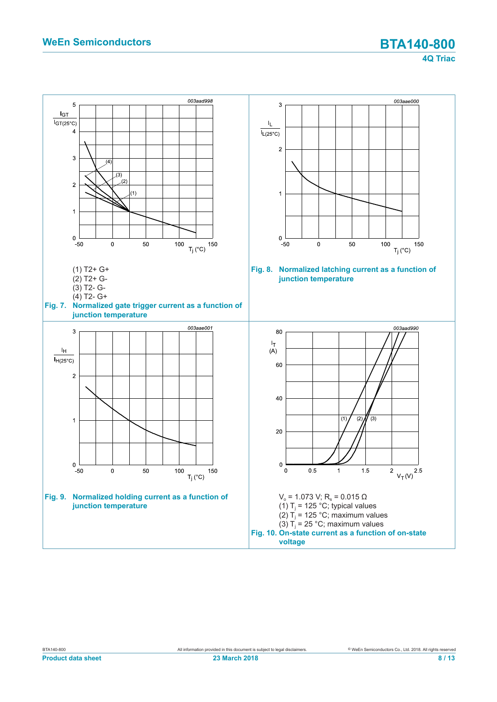**4Q Triac**

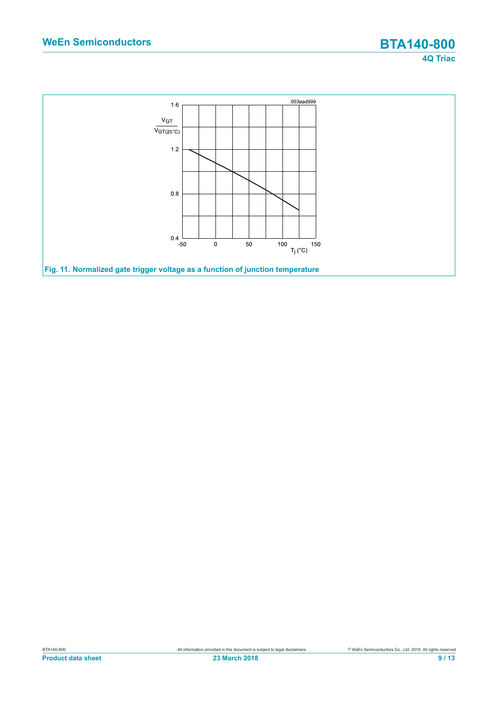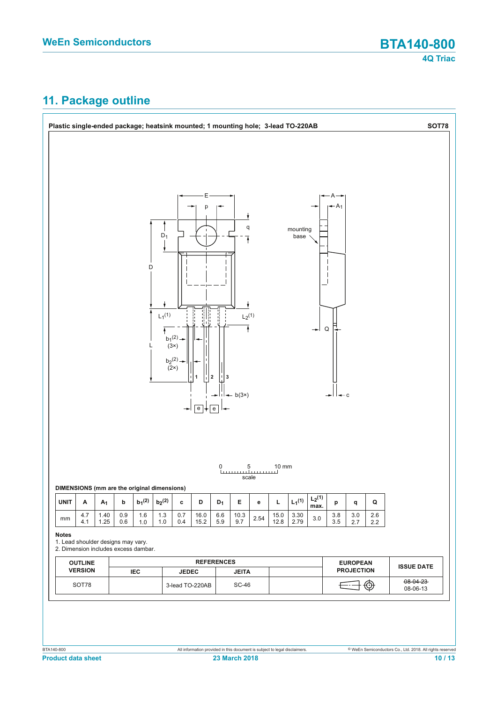# **11. Package outline**

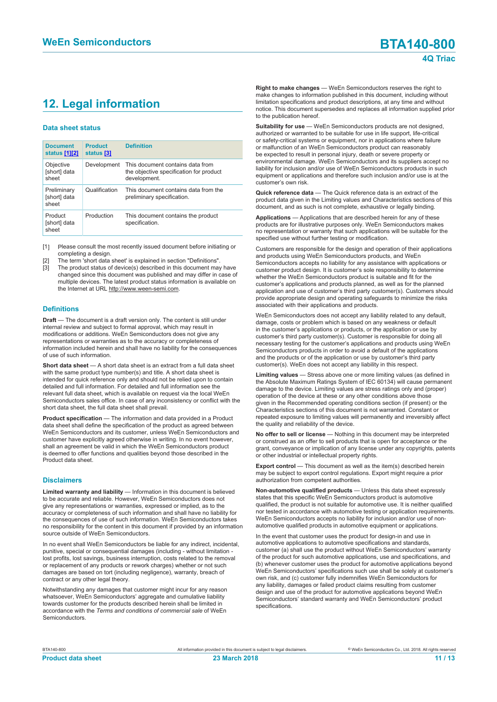# **12. Legal information**

#### **Data sheet status**

| <b>Document</b><br>status [1][2]     | <b>Product</b><br>status [3] | <b>Definition</b>                                                                           |
|--------------------------------------|------------------------------|---------------------------------------------------------------------------------------------|
| Objective<br>[short] data<br>sheet   | Development                  | This document contains data from<br>the objective specification for product<br>development. |
| Preliminary<br>[short] data<br>sheet | Qualification                | This document contains data from the<br>preliminary specification.                          |
| Product<br>[short] data<br>sheet     | Production                   | This document contains the product<br>specification.                                        |

[1] Please consult the most recently issued document before initiating or completing a design.

- [2] The term 'short data sheet' is explained in section "Definitions".
- [3] The product status of device(s) described in this document may have changed since this document was published and may differ in case of multiple devices. The latest product status information is available on the Internet at URL http://www.ween-semi.com.

#### **Definitions**

**Draft** — The document is a draft version only. The content is still under internal review and subject to formal approval, which may result in modifications or additions. WeEn Semiconductors does not give any representations or warranties as to the accuracy or completeness of information included herein and shall have no liability for the consequences of use of such information.

**Short data sheet** — A short data sheet is an extract from a full data sheet with the same product type number(s) and title. A short data sheet is intended for quick reference only and should not be relied upon to contain detailed and full information. For detailed and full information see the relevant full data sheet, which is available on request via the local WeEn Semiconductors sales office. In case of any inconsistency or conflict with the short data sheet, the full data sheet shall prevail.

**Product specification** — The information and data provided in a Product data sheet shall define the specification of the product as agreed between WeEn Semiconductors and its customer, unless WeEn Semiconductors and customer have explicitly agreed otherwise in writing. In no event however, shall an agreement be valid in which the WeEn Semiconductors product is deemed to offer functions and qualities beyond those described in the Product data sheet.

#### **Disclaimers**

**Limited warranty and liability** — Information in this document is believed to be accurate and reliable. However, WeEn Semiconductors does not give any representations or warranties, expressed or implied, as to the accuracy or completeness of such information and shall have no liability for the consequences of use of such information. WeEn Semiconductors takes no responsibility for the content in this document if provided by an information source outside of WeEn Semiconductors.

In no event shall WeEn Semiconductors be liable for any indirect, incidental, punitive, special or consequential damages (including - without limitation lost profits, lost savings, business interruption, costs related to the removal or replacement of any products or rework charges) whether or not such damages are based on tort (including negligence), warranty, breach of contract or any other legal theory.

Notwithstanding any damages that customer might incur for any reason whatsoever, WeEn Semiconductors' aggregate and cumulative liability towards customer for the products described herein shall be limited in accordance with the *Terms and conditions of commercial sale* of WeEn Semiconductors.

**Right to make changes** — WeEn Semiconductors reserves the right to make changes to information published in this document, including without limitation specifications and product descriptions, at any time and without notice. This document supersedes and replaces all information supplied prior to the publication hereof.

**Suitability for use** — WeEn Semiconductors products are not designed, authorized or warranted to be suitable for use in life support, life-critical or safety-critical systems or equipment, nor in applications where failure or malfunction of an WeEn Semiconductors product can reasonably be expected to result in personal injury, death or severe property or environmental damage. WeEn Semiconductors and its suppliers accept no liability for inclusion and/or use of WeEn Semiconductors products in such equipment or applications and therefore such inclusion and/or use is at the customer's own risk.

**Quick reference data** — The Quick reference data is an extract of the product data given in the Limiting values and Characteristics sections of this document, and as such is not complete, exhaustive or legally binding.

**Applications** — Applications that are described herein for any of these products are for illustrative purposes only. WeEn Semiconductors makes no representation or warranty that such applications will be suitable for the specified use without further testing or modification.

Customers are responsible for the design and operation of their applications and products using WeEn Semiconductors products, and WeEn Semiconductors accepts no liability for any assistance with applications or customer product design. It is customer's sole responsibility to determine whether the WeEn Semiconductors product is suitable and fit for the customer's applications and products planned, as well as for the planned application and use of customer's third party customer(s). Customers should provide appropriate design and operating safeguards to minimize the risks associated with their applications and products.

WeEn Semiconductors does not accept any liability related to any default, damage, costs or problem which is based on any weakness or default in the customer's applications or products, or the application or use by customer's third party customer(s). Customer is responsible for doing all necessary testing for the customer's applications and products using WeEn Semiconductors products in order to avoid a default of the applications and the products or of the application or use by customer's third party customer(s). WeEn does not accept any liability in this respect.

**Limiting values** — Stress above one or more limiting values (as defined in the Absolute Maximum Ratings System of IEC 60134) will cause permanent damage to the device. Limiting values are stress ratings only and (proper) operation of the device at these or any other conditions above those given in the Recommended operating conditions section (if present) or the Characteristics sections of this document is not warranted. Constant or repeated exposure to limiting values will permanently and irreversibly affect the quality and reliability of the device.

**No offer to sell or license** — Nothing in this document may be interpreted or construed as an offer to sell products that is open for acceptance or the grant, conveyance or implication of any license under any copyrights, patents or other industrial or intellectual property rights.

**Export control** — This document as well as the item(s) described herein may be subject to export control regulations. Export might require a prior authorization from competent authorities.

**Non-automotive qualified products** — Unless this data sheet expressly states that this specific WeEn Semiconductors product is automotive qualified, the product is not suitable for automotive use. It is neither qualified nor tested in accordance with automotive testing or application requirements. WeEn Semiconductors accepts no liability for inclusion and/or use of nonautomotive qualified products in automotive equipment or applications.

In the event that customer uses the product for design-in and use in automotive applications to automotive specifications and standards, customer (a) shall use the product without WeEn Semiconductors' warranty of the product for such automotive applications, use and specifications, and (b) whenever customer uses the product for automotive applications beyond WeEn Semiconductors' specifications such use shall be solely at customer's own risk, and (c) customer fully indemnifies WeEn Semiconductors for any liability, damages or failed product claims resulting from customer design and use of the product for automotive applications beyond WeEn Semiconductors' standard warranty and WeEn Semiconductors' product specifications.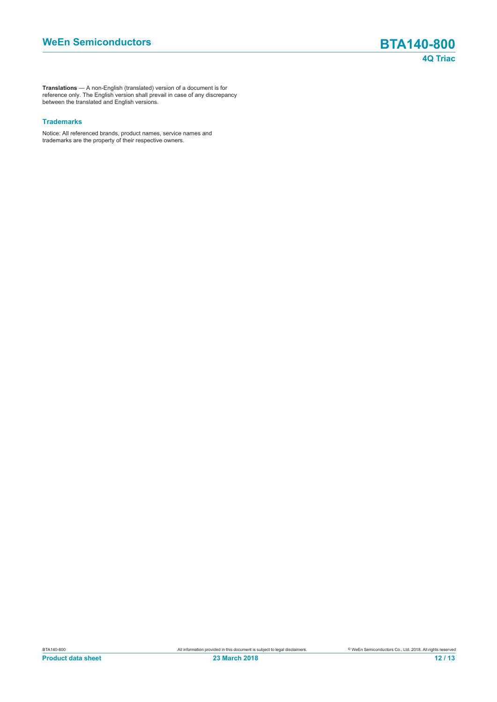**Translations** — A non-English (translated) version of a document is for reference only. The English version shall prevail in case of any discrepancy between the translated and English versions.

#### **Trademarks**

Notice: All referenced brands, product names, service names and trademarks are the property of their respective owners.